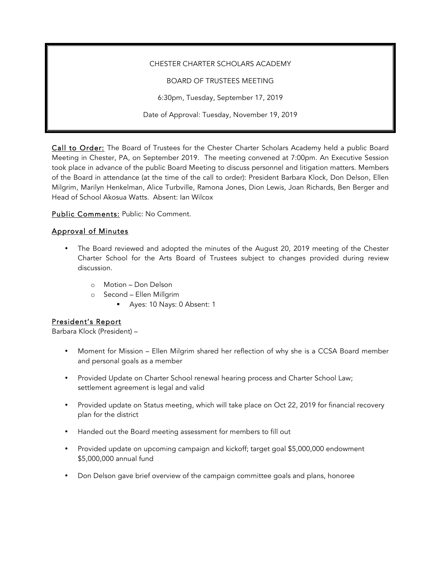#### CHESTER CHARTER SCHOLARS ACADEMY

BOARD OF TRUSTEES MEETING

6:30pm, Tuesday, September 17, 2019

Date of Approval: Tuesday, November 19, 2019

Call to Order: The Board of Trustees for the Chester Charter Scholars Academy held a public Board Meeting in Chester, PA, on September 2019. The meeting convened at 7:00pm. An Executive Session took place in advance of the public Board Meeting to discuss personnel and litigation matters. Members of the Board in attendance (at the time of the call to order): President Barbara Klock, Don Delson, Ellen Milgrim, Marilyn Henkelman, Alice Turbville, Ramona Jones, Dion Lewis, Joan Richards, Ben Berger and Head of School Akosua Watts. Absent: Ian Wilcox

Public Comments: Public: No Comment.

### Approval of Minutes

- The Board reviewed and adopted the minutes of the August 20, 2019 meeting of the Chester Charter School for the Arts Board of Trustees subject to changes provided during review discussion.
	- o Motion Don Delson
	- o Second Ellen Millgrim
		- § Ayes: 10 Nays: 0 Absent: 1

### President's Report

Barbara Klock (President) –

- Moment for Mission Ellen Milgrim shared her reflection of why she is a CCSA Board member and personal goals as a member
- Provided Update on Charter School renewal hearing process and Charter School Law; settlement agreement is legal and valid
- Provided update on Status meeting, which will take place on Oct 22, 2019 for financial recovery plan for the district
- Handed out the Board meeting assessment for members to fill out
- Provided update on upcoming campaign and kickoff; target goal \$5,000,000 endowment \$5,000,000 annual fund
- Don Delson gave brief overview of the campaign committee goals and plans, honoree